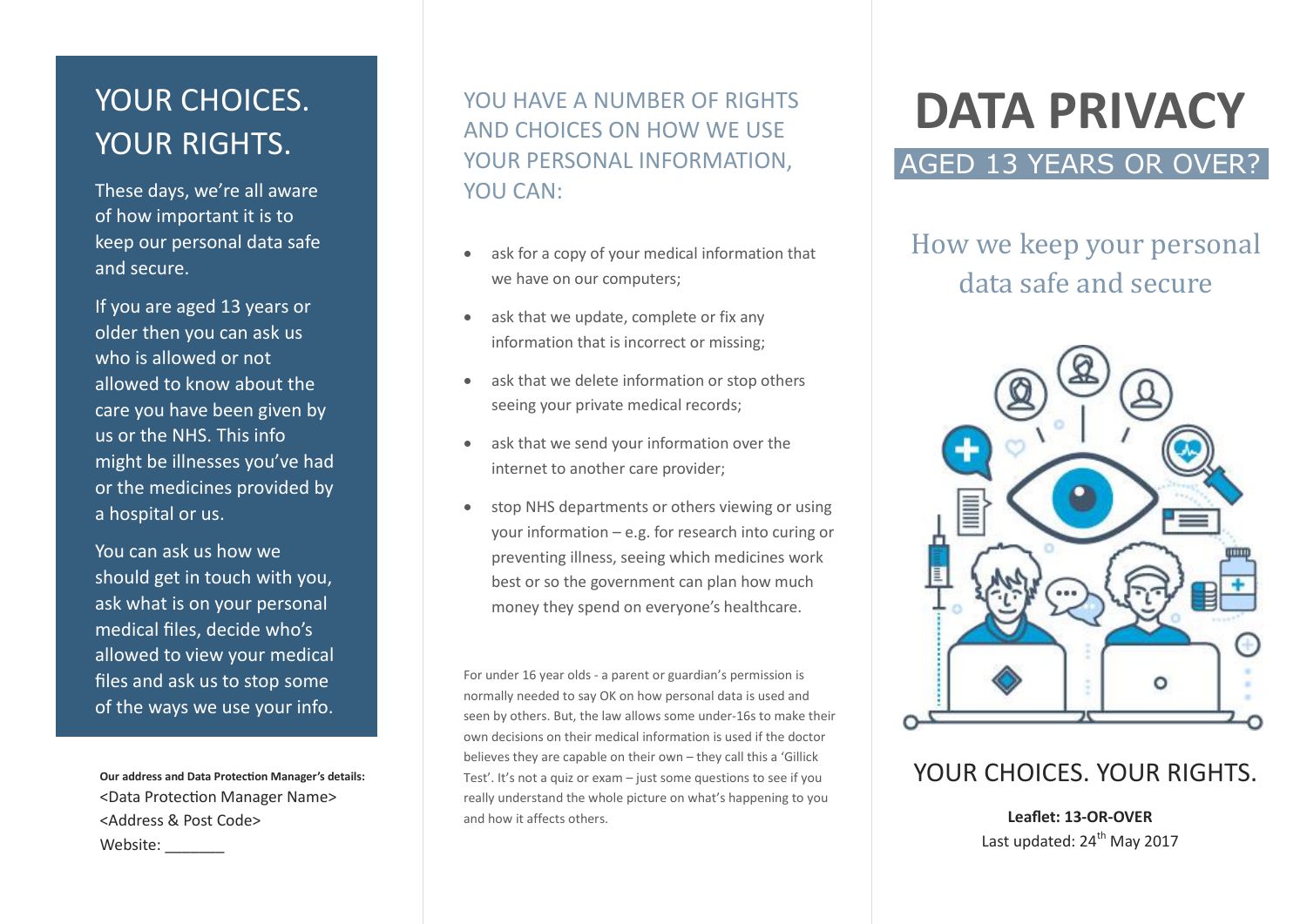# YOUR CHOICES. YOUR RIGHTS.

These days, we're all aware of how important it is to keep our personal data safe and secure.

If you are aged 13 years or older then you can ask us who is allowed or not allowed to know about the care you have been given by us or the NHS. This info might be illnesses you've had or the medicines provided by a hospital or us.

You can ask us how we should get in touch with you, ask what is on your personal medical files, decide who's allowed to view your medical files and ask us to stop some of the ways we use your info.

**Our address and Data Protection Manager's details:** <Data Protection Manager Name> <Address & Post Code> Website:

YOU HAVE A NUMBER OF RIGHTS AND CHOICES ON HOW WE USE YOUR PERSONAL INFORMATION, YOU CAN:

- ask for a copy of your medical information that we have on our computers;
- ask that we update, complete or fix any information that is incorrect or missing;
- ask that we delete information or stop others seeing your private medical records;
- ask that we send your information over the internet to another care provider;
- stop NHS departments or others viewing or using your information – e.g. for research into curing or preventing illness, seeing which medicines work best or so the government can plan how much money they spend on everyone's healthcare.

For under 16 year olds - a parent or guardian's permission is normally needed to say OK on how personal data is used and seen by others. But, the law allows some under-16s to make their own decisions on their medical information is used if the doctor believes they are capable on their own – they call this a 'Gillick Test'. It's not a quiz or exam – just some questions to see if you really understand the whole picture on what's happening to you and how it affects others.

# **DATA PRIVACY**

## AGED 13 YEARS OR OVER?

# How we keep your personal data safe and secure



## YOUR CHOICES. YOUR RIGHTS.

**Leaflet: 13-OR-OVER** Last updated:  $24<sup>th</sup>$  May 2017